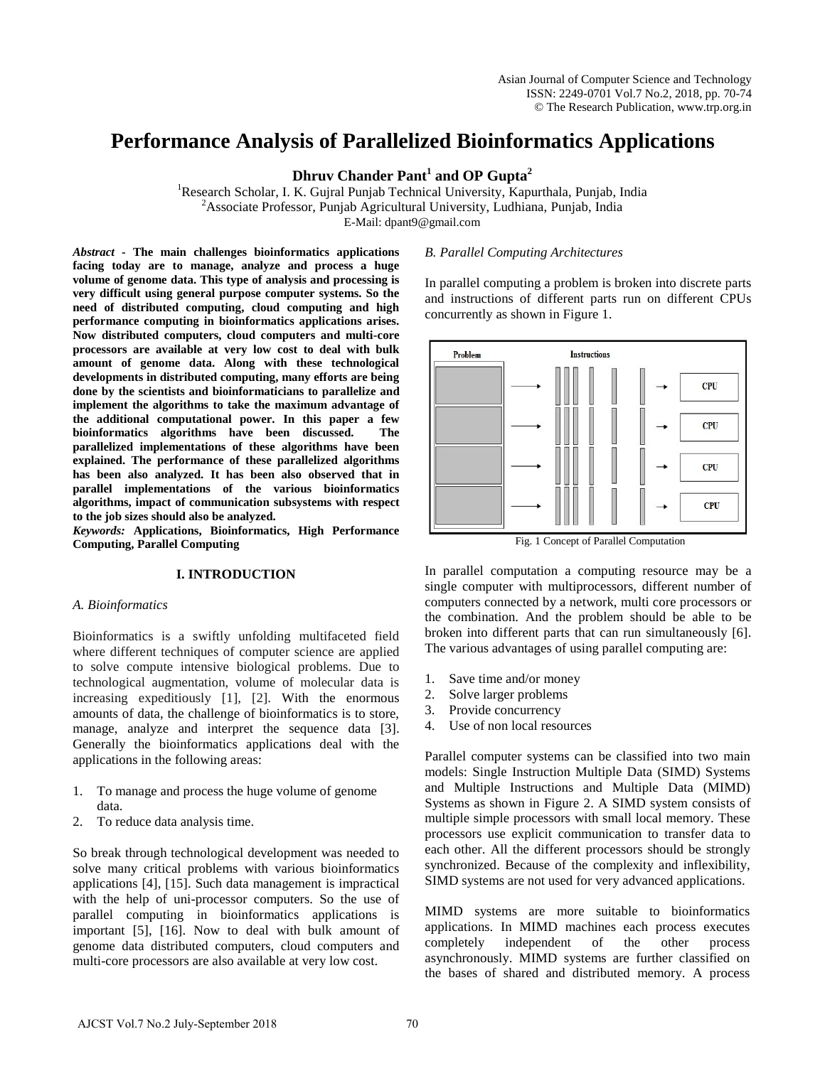# **Performance Analysis of Parallelized Bioinformatics Applications**

**Dhruv Chander Pant<sup>1</sup> and OP Gupta<sup>2</sup>**

<sup>1</sup>Research Scholar, I. K. Gujral Punjab Technical University, Kapurthala, Punjab, India <sup>2</sup> Associate Professor, Punjab Agricultural University, Ludhiana, Punjab, India E-Mail: dpant9@gmail.com

*Abstract* **- The main challenges bioinformatics applications facing today are to manage, analyze and process a huge volume of genome data. This type of analysis and processing is very difficult using general purpose computer systems. So the need of distributed computing, cloud computing and high performance computing in bioinformatics applications arises. Now distributed computers, cloud computers and multi-core processors are available at very low cost to deal with bulk amount of genome data. Along with these technological developments in distributed computing, many efforts are being done by the scientists and bioinformaticians to parallelize and implement the algorithms to take the maximum advantage of the additional computational power. In this paper a few bioinformatics algorithms have been discussed. The parallelized implementations of these algorithms have been explained. The performance of these parallelized algorithms has been also analyzed. It has been also observed that in parallel implementations of the various bioinformatics algorithms, impact of communication subsystems with respect to the job sizes should also be analyzed.** 

*Keywords:* **Applications, Bioinformatics, High Performance Computing, Parallel Computing** 

## **I. INTRODUCTION**

#### *A. Bioinformatics*

Bioinformatics is a swiftly unfolding multifaceted field where different techniques of computer science are applied to solve compute intensive biological problems. Due to technological augmentation, volume of molecular data is increasing expeditiously [1], [2]. With the enormous amounts of data, the challenge of bioinformatics is to store, manage, analyze and interpret the sequence data [3]. Generally the bioinformatics applications deal with the applications in the following areas:

- 1. To manage and process the huge volume of genome data.
- 2. To reduce data analysis time.

So break through technological development was needed to solve many critical problems with various bioinformatics applications [4], [15]. Such data management is impractical with the help of uni-processor computers. So the use of parallel computing in bioinformatics applications is important [5], [16]. Now to deal with bulk amount of genome data distributed computers, cloud computers and multi-core processors are also available at very low cost.

#### *B. Parallel Computing Architectures*

In parallel computing a problem is broken into discrete parts and instructions of different parts run on different CPUs concurrently as shown in Figure 1.



Fig. 1 Concept of Parallel Computation

In parallel computation a computing resource may be a single computer with multiprocessors, different number of computers connected by a network, multi core processors or the combination. And the problem should be able to be broken into different parts that can run simultaneously [6]. The various advantages of using parallel computing are:

- 1. Save time and/or money
- 2. Solve larger problems
- 3. Provide concurrency
- 4. Use of non local resources

Parallel computer systems can be classified into two main models: Single Instruction Multiple Data (SIMD) Systems and Multiple Instructions and Multiple Data (MIMD) Systems as shown in Figure 2. A SIMD system consists of multiple simple processors with small local memory. These processors use explicit communication to transfer data to each other. All the different processors should be strongly synchronized. Because of the complexity and inflexibility, SIMD systems are not used for very advanced applications.

MIMD systems are more suitable to bioinformatics applications. In MIMD machines each process executes completely independent of the other process asynchronously. MIMD systems are further classified on the bases of shared and distributed memory. A process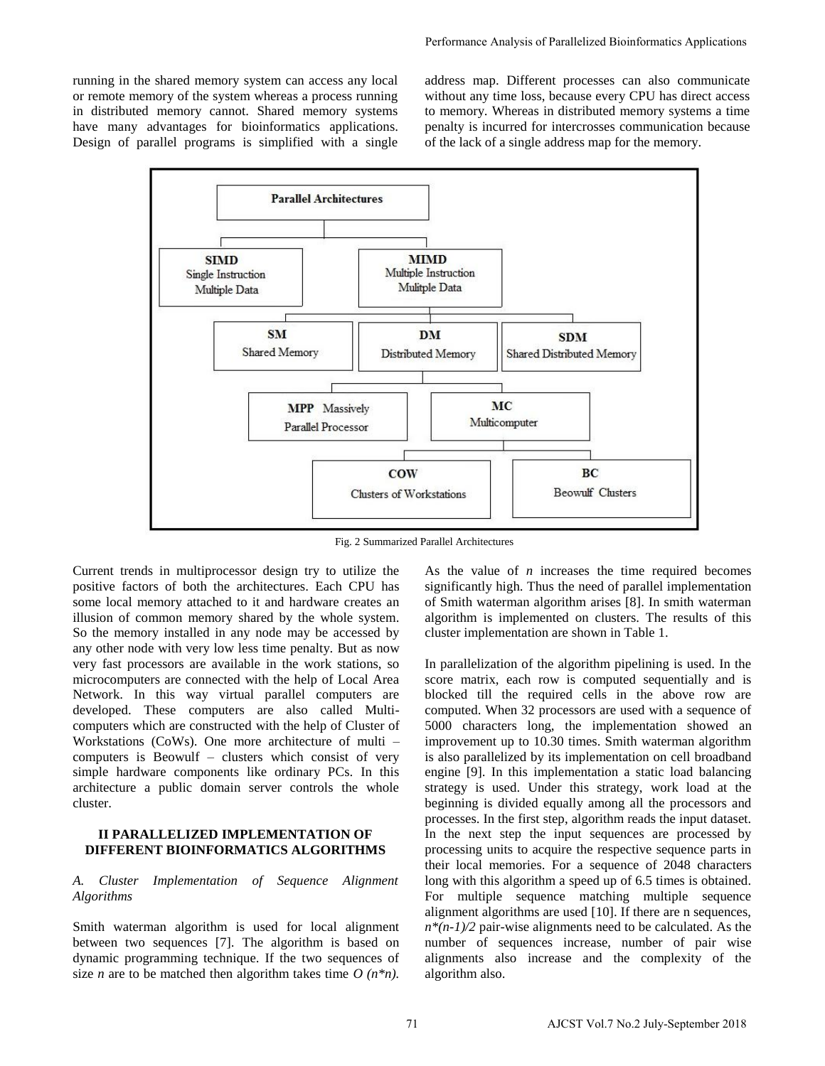running in the shared memory system can access any local or remote memory of the system whereas a process running in distributed memory cannot. Shared memory systems have many advantages for bioinformatics applications. Design of parallel programs is simplified with a single address map. Different processes can also communicate without any time loss, because every CPU has direct access to memory. Whereas in distributed memory systems a time penalty is incurred for intercrosses communication because of the lack of a single address map for the memory.



Fig. 2 Summarized Parallel Architectures

Current trends in multiprocessor design try to utilize the positive factors of both the architectures. Each CPU has some local memory attached to it and hardware creates an illusion of common memory shared by the whole system. So the memory installed in any node may be accessed by any other node with very low less time penalty. But as now very fast processors are available in the work stations, so microcomputers are connected with the help of Local Area Network. In this way virtual parallel computers are developed. These computers are also called Multicomputers which are constructed with the help of Cluster of Workstations (CoWs). One more architecture of multi – computers is Beowulf – clusters which consist of very simple hardware components like ordinary PCs. In this architecture a public domain server controls the whole cluster.

### **II PARALLELIZED IMPLEMENTATION OF DIFFERENT BIOINFORMATICS ALGORITHMS**

## *A. Cluster Implementation of Sequence Alignment Algorithms*

Smith waterman algorithm is used for local alignment between two sequences [7]. The algorithm is based on dynamic programming technique. If the two sequences of size *n* are to be matched then algorithm takes time  $O(n^*n)$ . As the value of *n* increases the time required becomes significantly high. Thus the need of parallel implementation of Smith waterman algorithm arises [8]. In smith waterman algorithm is implemented on clusters. The results of this cluster implementation are shown in Table 1.

In parallelization of the algorithm pipelining is used. In the score matrix, each row is computed sequentially and is blocked till the required cells in the above row are computed. When 32 processors are used with a sequence of 5000 characters long, the implementation showed an improvement up to 10.30 times. Smith waterman algorithm is also parallelized by its implementation on cell broadband engine [9]. In this implementation a static load balancing strategy is used. Under this strategy, work load at the beginning is divided equally among all the processors and processes. In the first step, algorithm reads the input dataset. In the next step the input sequences are processed by processing units to acquire the respective sequence parts in their local memories. For a sequence of 2048 characters long with this algorithm a speed up of 6.5 times is obtained. For multiple sequence matching multiple sequence alignment algorithms are used [10]. If there are n sequences,  $n*(n-1)/2$  pair-wise alignments need to be calculated. As the number of sequences increase, number of pair wise alignments also increase and the complexity of the algorithm also.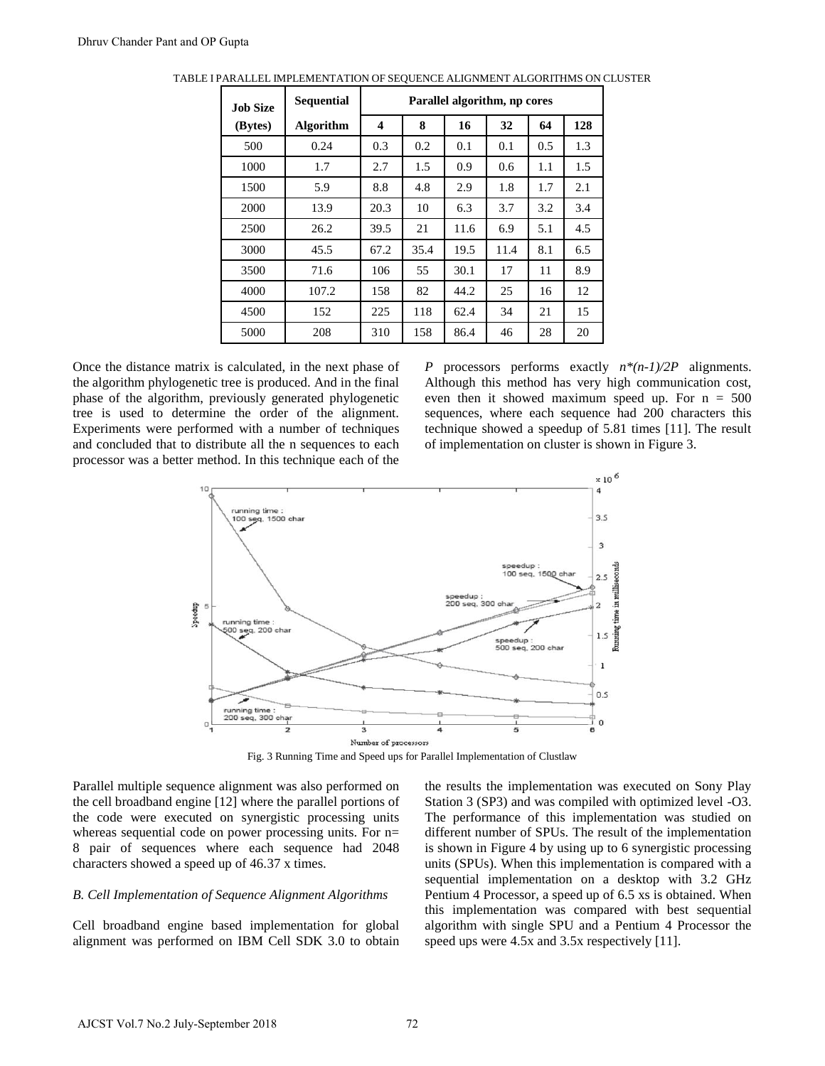| <b>Job Size</b> | <b>Sequential</b> | Parallel algorithm, np cores |      |      |      |     |     |
|-----------------|-------------------|------------------------------|------|------|------|-----|-----|
| (Bytes)         | <b>Algorithm</b>  | 4                            | 8    | 16   | 32   | 64  | 128 |
| 500             | 0.24              | 0.3                          | 0.2  | 0.1  | 0.1  | 0.5 | 1.3 |
| 1000            | 1.7               | 2.7                          | 1.5  | 0.9  | 0.6  | 1.1 | 1.5 |
| 1500            | 5.9               | 8.8                          | 4.8  | 2.9  | 1.8  | 1.7 | 2.1 |
| 2000            | 13.9              | 20.3                         | 10   | 6.3  | 3.7  | 3.2 | 3.4 |
| 2500            | 26.2              | 39.5                         | 21   | 11.6 | 6.9  | 5.1 | 4.5 |
| 3000            | 45.5              | 67.2                         | 35.4 | 19.5 | 11.4 | 8.1 | 6.5 |
| 3500            | 71.6              | 106                          | 55   | 30.1 | 17   | 11  | 8.9 |
| 4000            | 107.2             | 158                          | 82   | 44.2 | 25   | 16  | 12  |
| 4500            | 152               | 225                          | 118  | 62.4 | 34   | 21  | 15  |
| 5000            | 208               | 310                          | 158  | 86.4 | 46   | 28  | 20  |

TABLE I PARALLEL IMPLEMENTATION OF SEQUENCE ALIGNMENT ALGORITHMS ON CLUSTER

Once the distance matrix is calculated, in the next phase of the algorithm phylogenetic tree is produced. And in the final phase of the algorithm, previously generated phylogenetic tree is used to determine the order of the alignment. Experiments were performed with a number of techniques and concluded that to distribute all the n sequences to each processor was a better method. In this technique each of the *P* processors performs exactly *n\*(n-1)/2P* alignments. Although this method has very high communication cost, even then it showed maximum speed up. For  $n = 500$ sequences, where each sequence had 200 characters this technique showed a speedup of 5.81 times [11]. The result of implementation on cluster is shown in Figure 3.



Fig. 3 Running Time and Speed ups for Parallel Implementation of Clustlaw

Parallel multiple sequence alignment was also performed on the cell broadband engine [12] where the parallel portions of the code were executed on synergistic processing units whereas sequential code on power processing units. For n= 8 pair of sequences where each sequence had 2048 characters showed a speed up of 46.37 x times.

#### *B. Cell Implementation of Sequence Alignment Algorithms*

Cell broadband engine based implementation for global alignment was performed on IBM Cell SDK 3.0 to obtain the results the implementation was executed on Sony Play Station 3 (SP3) and was compiled with optimized level -O3. The performance of this implementation was studied on different number of SPUs. The result of the implementation is shown in Figure 4 by using up to 6 synergistic processing units (SPUs). When this implementation is compared with a sequential implementation on a desktop with 3.2 GHz Pentium 4 Processor, a speed up of 6.5 xs is obtained. When this implementation was compared with best sequential algorithm with single SPU and a Pentium 4 Processor the speed ups were 4.5x and 3.5x respectively [11].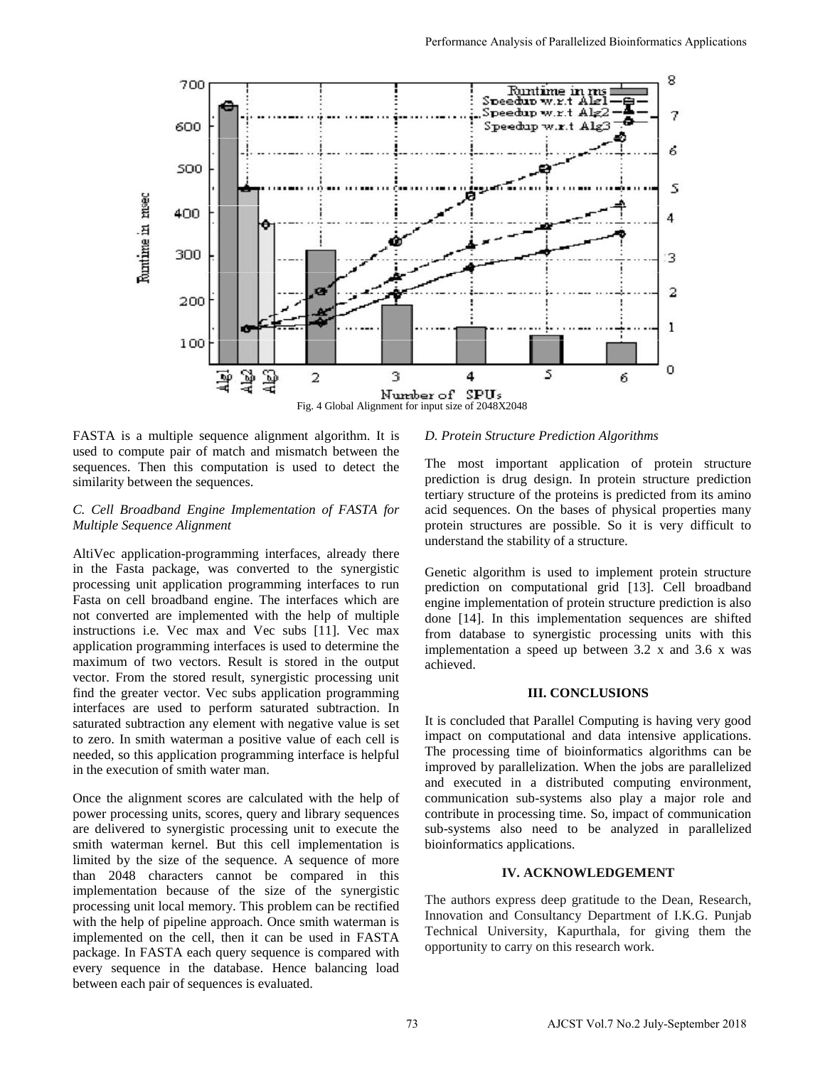

FASTA is a multiple sequence alignment algorithm. It is used to compute pair of match and mismatch between the sequences. Then this computation is used to detect the similarity between the sequences.

# *C. Cell Broadband Engine Implementation of FASTA for Multiple Sequence Alignment*

AltiVec application-programming interfaces, already there in the Fasta package, was converted to the synergistic processing unit application programming interfaces to run Fasta on cell broadband engine. The interfaces which are not converted are implemented with the help of multiple instructions i.e. Vec max and Vec subs [11]. Vec max application programming interfaces is used to determine the maximum of two vectors. Result is stored in the output vector. From the stored result, synergistic processing unit find the greater vector. Vec subs application programming interfaces are used to perform saturated subtraction. In saturated subtraction any element with negative value is set to zero. In smith waterman a positive value of each cell is needed, so this application programming interface is helpful in the execution of smith water man.

Once the alignment scores are calculated with the help of power processing units, scores, query and library sequences are delivered to synergistic processing unit to execute the smith waterman kernel. But this cell implementation is limited by the size of the sequence. A sequence of more than 2048 characters cannot be compared in this implementation because of the size of the synergistic processing unit local memory. This problem can be rectified with the help of pipeline approach. Once smith waterman is implemented on the cell, then it can be used in FASTA package. In FASTA each query sequence is compared with every sequence in the database. Hence balancing load between each pair of sequences is evaluated.

#### *D. Protein Structure Prediction Algorithms*

The most important application of protein structure prediction is drug design. In protein structure prediction tertiary structure of the proteins is predicted from its amino acid sequences. On the bases of physical properties many protein structures are possible. So it is very difficult to understand the stability of a structure.

Genetic algorithm is used to implement protein structure prediction on computational grid [13]. Cell broadband engine implementation of protein structure prediction is also done [14]. In this implementation sequences are shifted from database to synergistic processing units with this implementation a speed up between 3.2 x and 3.6 x was achieved.

#### **III. CONCLUSIONS**

It is concluded that Parallel Computing is having very good impact on computational and data intensive applications. The processing time of bioinformatics algorithms can be improved by parallelization. When the jobs are parallelized and executed in a distributed computing environment, communication sub-systems also play a major role and contribute in processing time. So, impact of communication sub-systems also need to be analyzed in parallelized bioinformatics applications.

## **IV. ACKNOWLEDGEMENT**

The authors express deep gratitude to the Dean, Research, Innovation and Consultancy Department of I.K.G. Punjab Technical University, Kapurthala, for giving them the opportunity to carry on this research work.